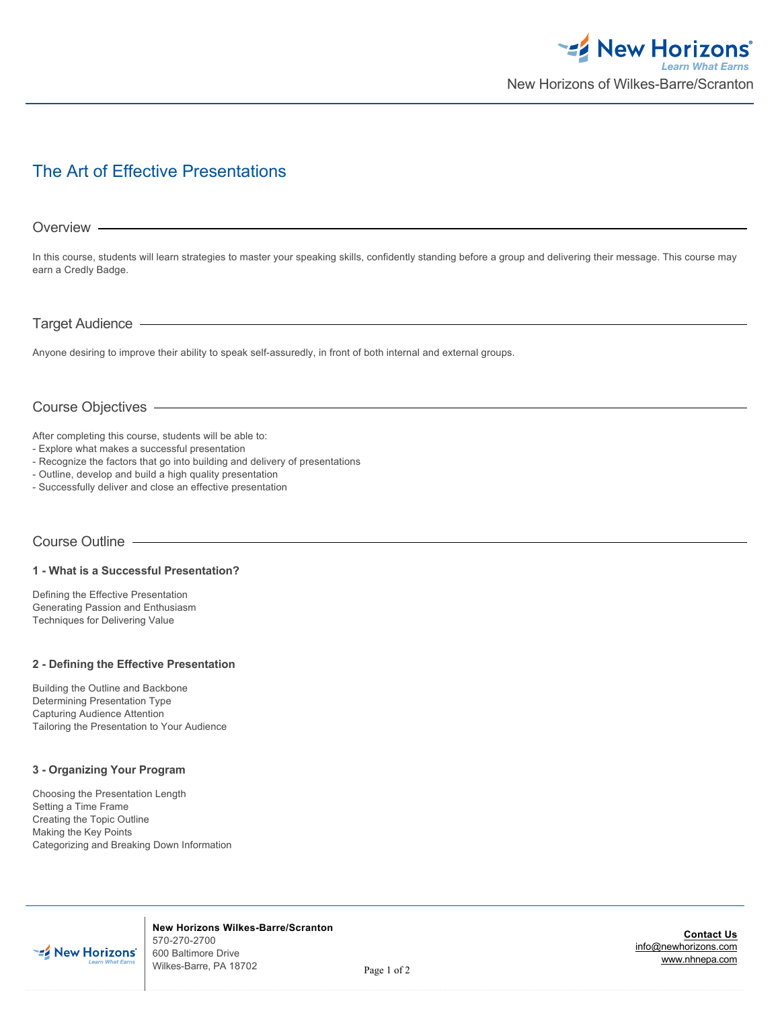

# The Art of Effective Presentations

## Overview -

In this course, students will learn strategies to master your speaking skills, confidently standing before a group and delivering their message. This course may earn a Credly Badge.

## Target Audience

Anyone desiring to improve their ability to speak self-assuredly, in front of both internal and external groups.

# Course Objectives

After completing this course, students will be able to:

- Explore what makes a successful presentation
- Recognize the factors that go into building and delivery of presentations
- Outline, develop and build a high quality presentation
- Successfully deliver and close an effective presentation

## Course Outline

#### **1 - What is a Successful Presentation?**

Defining the Effective Presentation Generating Passion and Enthusiasm Techniques for Delivering Value

#### **2 - Defining the Effective Presentation**

Building the Outline and Backbone Determining Presentation Type Capturing Audience Attention Tailoring the Presentation to Your Audience

## **3 - Organizing Your Program**

Choosing the Presentation Length Setting a Time Frame Creating the Topic Outline Making the Key Points Categorizing and Breaking Down Information



**New Horizons Wilkes-Barre/Scranton** 570-270-2700 600 Baltimore Drive Wilkes-Barre, PA 18702

**Contact Us** [info@newhorizons.com](http://www.nhnepa.com/courses-certifications/course-outline/default-pdf-footer/courseid/1018235676/fid/0/sid/info@newhorizons.com) [www.nhnepa.com](http://www.nhnepa.com)